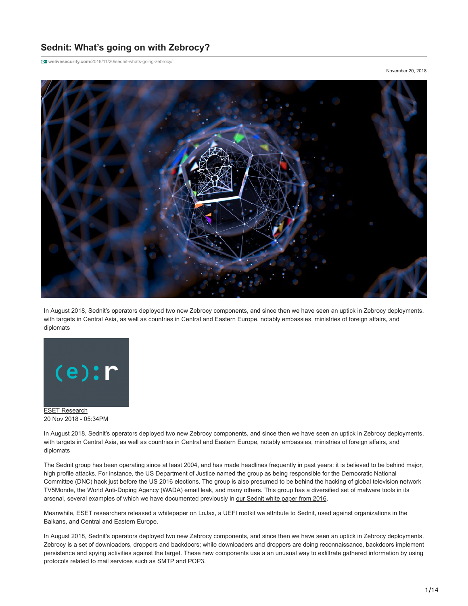# **Sednit: What's going on with Zebrocy?**

**welivesecurity.com**[/2018/11/20/sednit-whats-going-zebrocy/](https://www.welivesecurity.com/2018/11/20/sednit-whats-going-zebrocy/)

November 20, 2018



In August 2018, Sednit's operators deployed two new Zebrocy components, and since then we have seen an uptick in Zebrocy deployments, with targets in Central Asia, as well as countries in Central and Eastern Europe, notably embassies, ministries of foreign affairs, and diplomats



[ESET Research](https://www.welivesecurity.com/author/esetresearch/) 20 Nov 2018 - 05:34PM

In August 2018, Sednit's operators deployed two new Zebrocy components, and since then we have seen an uptick in Zebrocy deployments, with targets in Central Asia, as well as countries in Central and Eastern Europe, notably embassies, ministries of foreign affairs, and diplomats

The Sednit group has been operating since at least 2004, and has made headlines frequently in past years: it is believed to be behind major, high profile attacks. For instance, the US Department of Justice named the group as being responsible for the Democratic National Committee (DNC) hack just before the US 2016 elections. The group is also presumed to be behind the hacking of global television network TV5Monde, the World Anti-Doping Agency (WADA) email leak, and many others. This group has a diversified set of malware tools in its arsenal, several examples of which we have documented previously in [our Sednit white paper from 2016](https://www.welivesecurity.com/wp-content/uploads/2016/10/eset-sednit-full.pdf).

Meanwhile, ESET researchers released a whitepaper on [LoJax](https://www.welivesecurity.com/2018/09/27/lojax-first-uefi-rootkit-found-wild-courtesy-sednit-group/), a UEFI rootkit we attribute to Sednit, used against organizations in the Balkans, and Central and Eastern Europe.

In August 2018, Sednit's operators deployed two new Zebrocy components, and since then we have seen an uptick in Zebrocy deployments. Zebrocy is a set of downloaders, droppers and backdoors; while downloaders and droppers are doing reconnaissance, backdoors implement persistence and spying activities against the target. These new components use a an unusual way to exfiltrate gathered information by using protocols related to mail services such as SMTP and POP3.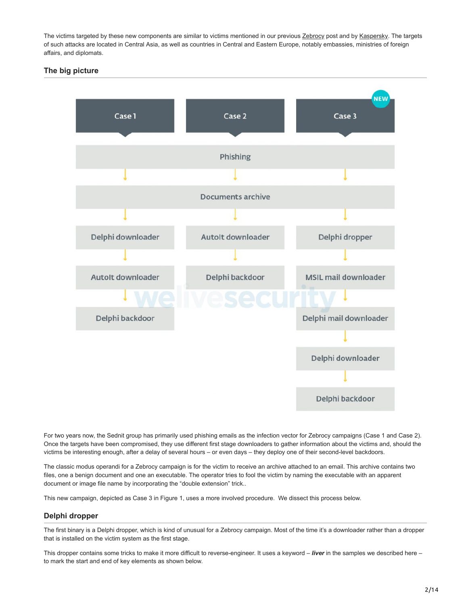The victims targeted by these new components are similar to victims mentioned in our previous [Zebrocy](https://www.welivesecurity.com/2018/04/24/sednit-update-analysis-zebrocy/) post and by [Kaspersky](https://securelist.com/masha-and-these-bears/84311/). The targets of such attacks are located in Central Asia, as well as countries in Central and Eastern Europe, notably embassies, ministries of foreign affairs, and diplomats.

# **The big picture**



For two years now, the Sednit group has primarily used phishing emails as the infection vector for Zebrocy campaigns (Case 1 and Case 2). Once the targets have been compromised, they use different first stage downloaders to gather information about the victims and, should the victims be interesting enough, after a delay of several hours – or even days – they deploy one of their second-level backdoors.

The classic modus operandi for a Zebrocy campaign is for the victim to receive an archive attached to an email. This archive contains two files, one a benign document and one an executable. The operator tries to fool the victim by naming the executable with an apparent document or image file name by incorporating the "double extension" trick..

This new campaign, depicted as Case 3 in Figure 1, uses a more involved procedure. We dissect this process below.

# **Delphi dropper**

The first binary is a Delphi dropper, which is kind of unusual for a Zebrocy campaign. Most of the time it's a downloader rather than a dropper that is installed on the victim system as the first stage.

This dropper contains some tricks to make it more difficult to reverse-engineer. It uses a keyword – *liver* in the samples we described here – to mark the start and end of key elements as shown below.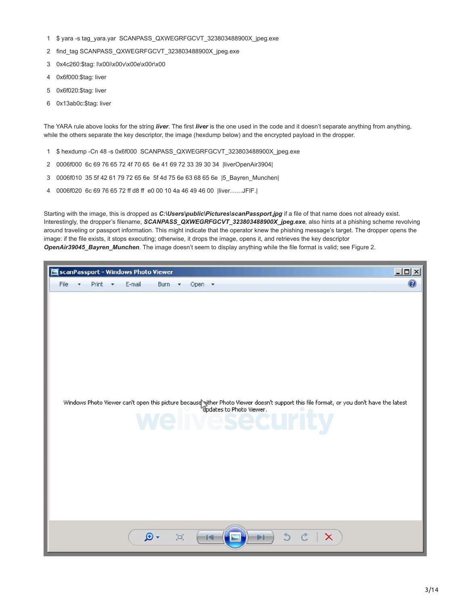- 1 \$ yara -s tag\_yara.yar SCANPASS\_QXWEGRFGCVT\_323803488900X\_jpeg.exe
- 2 find\_tag SCANPASS\_QXWEGRFGCVT\_323803488900X\_jpeg.exe
- 3 0x4c260:\$tag: l\x00i\x00v\x00e\x00r\x00
- 4 0x6f000:\$tag: liver
- 5 0x6f020:\$tag: liver
- 6 0x13ab0c:\$tag: liver

The YARA rule above looks for the string *liver*. The first *liver* is the one used in the code and it doesn't separate anything from anything, while the others separate the key descriptor, the image (hexdump below) and the encrypted payload in the dropper.

- 1 \$ hexdump -Cn 48 -s 0x6f000 SCANPASS\_QXWEGRFGCVT\_323803488900X\_jpeg.exe
- 2 0006f000 6c 69 76 65 72 4f 70 65 6e 41 69 72 33 39 30 34 |liverOpenAir3904|
- 3 0006f010 35 5f 42 61 79 72 65 6e 5f 4d 75 6e 63 68 65 6e |5\_Bayren\_Munchen|
- 4 0006f020 6c 69 76 65 72 ff d8 ff e0 00 10 4a 46 49 46 00 |liver……JFIF.|

Starting with the image, this is dropped as *C:\Users\public\Pictures\scanPassport.jpg* if a file of that name does not already exist. Interestingly, the dropper's filename, *SCANPASS\_QXWEGRFGCVT\_323803488900X\_jpeg.exe*, also hints at a phishing scheme revolving around traveling or passport information. This might indicate that the operator knew the phishing message's target. The dropper opens the image: if the file exists, it stops executing; otherwise, it drops the image, opens it, and retrieves the key descriptor *OpenAir39045\_Bayren\_Munchen*. The image doesn't seem to display anything while the file format is valid; see Figure 2.

| ScanPassport - Windows Photo Viewer                                                                                                                                            | $-10 \times$ |
|--------------------------------------------------------------------------------------------------------------------------------------------------------------------------------|--------------|
| File<br>Print +<br>E-mail<br>Burn +<br>$\overline{\phantom{a}}$<br>Open +<br>-                                                                                                 | 0            |
| Windows Photo Viewer can't open this picture because sither Photo Viewer doesn't support this file format, or you don't have the latest<br>The dates to Photo Viewer.<br>:urit |              |
| $\triangle$<br>- ه<br>$\Box$<br>$\sigma$<br>$\times$<br>ЪH<br>$\blacksquare$                                                                                                   |              |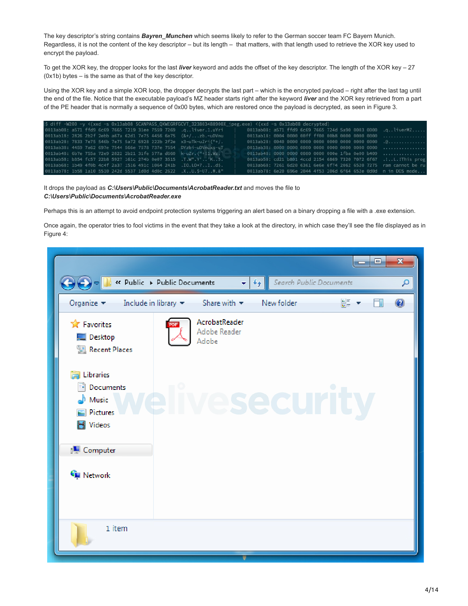The key descriptor's string contains *Bayren\_Munchen* which seems likely to refer to the German soccer team FC Bayern Munich. Regardless, it is not the content of the key descriptor *–* but its length *–* that matters, with that length used to retrieve the XOR key used to encrypt the payload.

To get the XOR key, the dropper looks for the last *liver* keyword and adds the offset of the key descriptor. The length of the XOR key – 27 (0x1b) bytes – is the same as that of the key descriptor.

Using the XOR key and a simple XOR loop, the dropper decrypts the last part – which is the encrypted payload – right after the last tag until the end of the file. Notice that the executable payload's MZ header starts right after the keyword *liver* and the XOR key retrieved from a part of the PE header that is normally a sequence of 0x00 bytes, which are restored once the payload is decrypted, as seen in Figure 3.

|  |  |  |  | S diff -W200 -y <(xxd -s 0x13ab08 SCANPASS_QXWEGRFGCVT_323803488900X_jpeg.exe) <(xxd -s 0x13ab08 decrypted) |  |  |  |  |                                                                    |
|--|--|--|--|-------------------------------------------------------------------------------------------------------------|--|--|--|--|--------------------------------------------------------------------|
|  |  |  |  | 0013ab08: a571 ffd9 6c69 7665 7219 31ee 7559 7269 .gliver.1.uYri                                            |  |  |  |  | 0013ab08: a571 ffd9 6c69 7665 724d 5a90 0003 0000 .gliverMZ        |
|  |  |  |  | 0013ab18: 2826 2b2f 2ebb a67a 62d1 7e75 4456 6e75 (&+/zb.~uDVnu                                             |  |  |  |  | 0013ab18: 0004 0000 00ff ff00 00b8 0000 0000 0000                  |
|  |  |  |  | 0013ab28: 7833 7e75 546b 7e75 5a72 6928 222b 2f2e x3~uTk~uZri("+/.                                          |  |  |  |  |                                                                    |
|  |  |  |  | 0013ab38: 4459 7a62 697e 7544 566e 7578 737e 7554 DYzbi-uDVnuxs-uT                                          |  |  |  |  |                                                                    |
|  |  |  |  | 0013ab48: 6b7e 755a 72e9 2822 2b21 31fe 577a d660 k-uZr. ("+!1.Wz.'                                         |  |  |  |  | 0013ab48: 0000 0000 0080 0000 000e 1fba 0e00 b409                  |
|  |  |  |  | 0013ab58: b354 fc57 22b8 5927 161c 274b 0e07 3515 .T.W".Y''K5.                                              |  |  |  |  | 0013ab58: cd21 b801 4ccd 2154 6869 7320 7072 6f67 .!L. ! This prog |
|  |  |  |  | 0013ab68: 1b49 4f0b 4c4f 2a37 1516 491c 1064 241b .IO.LO*7Id\$.                                             |  |  |  |  | 0013ab68: 7261 6d20 6361 6e6e 6f74 2062 6520 7275 ram cannot be ru |
|  |  |  |  | 0013ab78: 1b58 1a10 5510 242d 5537 1d0d 4d0c 2622 .XU.\$-U7M.&"                                             |  |  |  |  | 0013ab78: 6e20 696e 2044 4f53 206d 6f64 652e 0d0d n in DOS mode    |

It drops the payload as *C:\Users\Public\Documents\AcrobatReader.txt* and moves the file to *C:\Users\Public\Documents\AcrobatReader.exe*

Perhaps this is an attempt to avoid endpoint protection systems triggering an alert based on a binary dropping a file with a .exe extension.

Once again, the operator tries to fool victims in the event that they take a look at the directory, in which case they'll see the file displayed as in Figure 4:

| $\mathbf{C}$                                                                       | B « Public → Public Documents           | $\overline{\mathbf{v}}$                | $+$ | Search Public Documents | - 1 | æ. | $\Sigma$<br>٩    |
|------------------------------------------------------------------------------------|-----------------------------------------|----------------------------------------|-----|-------------------------|-----|----|------------------|
| Organize $\blacktriangledown$                                                      | Include in library $\blacktriangledown$ | Share with $\blacktriangledown$        |     | New folder              | 을 - |    | $\mathbf \Omega$ |
| <b>x</b> Favorites<br>Desktop<br><b>图 Recent Places</b>                            |                                         | AcrobatReader<br>Adobe Reader<br>Adobe |     |                         |     |    |                  |
| <b>En Libraries</b><br>Documents<br>$\bullet$ Music<br>Pictures<br><b>N</b> Videos |                                         |                                        |     |                         |     |    |                  |
| Computer<br>Network                                                                |                                         |                                        |     |                         |     |    |                  |
| 1 item                                                                             |                                         |                                        |     |                         |     |    |                  |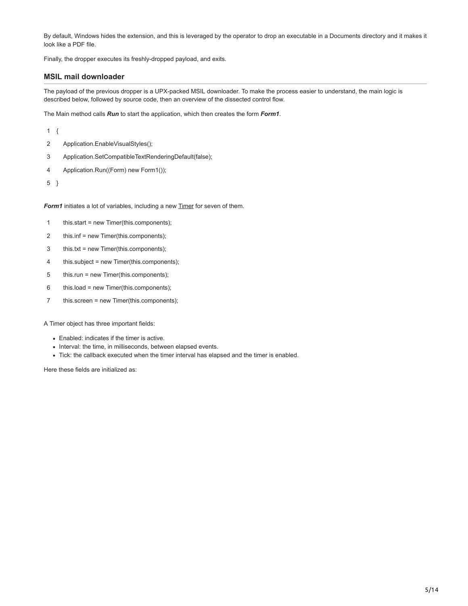By default, Windows hides the extension, and this is leveraged by the operator to drop an executable in a Documents directory and it makes it look like a PDF file.

Finally, the dropper executes its freshly-dropped payload, and exits.

## **MSIL mail downloader**

The payload of the previous dropper is a UPX-packed MSIL downloader. To make the process easier to understand, the main logic is described below, followed by source code, then an overview of the dissected control flow.

The Main method calls *Run* to start the application, which then creates the form *Form1*.

1 {

- 2 Application.EnableVisualStyles();
- 3 Application.SetCompatibleTextRenderingDefault(false);
- 4 Application.Run((Form) new Form1());

5 }

Form1 initiates a lot of variables, including a new **Timer** for seven of them.

- 1 this.start = new Timer(this.components);
- 2 this.inf = new Timer(this.components);
- 3 this.txt = new Timer(this.components);
- 4 this.subject = new Timer(this.components);
- 5 this.run = new Timer(this.components);
- 6 this.load = new Timer(this.components);
- 7 this.screen = new Timer(this.components);

A Timer object has three important fields:

- Enabled: indicates if the timer is active.
- Interval: the time, in milliseconds, between elapsed events.
- Tick: the callback executed when the timer interval has elapsed and the timer is enabled.

Here these fields are initialized as: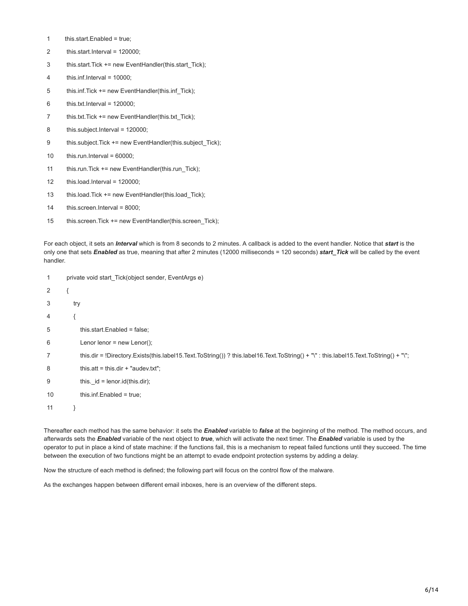- 1 this.start.Enabled = true;
- 2 this.start.Interval = 120000;
- 3 this.start.Tick += new EventHandler(this.start\_Tick);
- 4 this.inf.Interval = 10000;
- 5 this.inf.Tick += new EventHandler(this.inf\_Tick);
- 6 this.txt.Interval = 120000;
- 7 this.txt.Tick += new EventHandler(this.txt\_Tick);
- 8 this.subject.Interval = 120000;
- 9 this.subject.Tick += new EventHandler(this.subject\_Tick);
- 10 this.run.Interval =  $60000$ ;
- 11 this.run.Tick += new EventHandler(this.run\_Tick);
- 12 this.load.Interval = 120000;
- 13 this.load.Tick += new EventHandler(this.load\_Tick);
- 14 this.screen.Interval = 8000;
- 15 this.screen.Tick += new EventHandler(this.screen\_Tick);

For each object, it sets an *Interval* which is from 8 seconds to 2 minutes. A callback is added to the event handler. Notice that *start* is the only one that sets *Enabled* as true, meaning that after 2 minutes (12000 milliseconds = 120 seconds) *start\_Tick* will be called by the event handler.

| 1              |     | private void start Tick(object sender, EventArgs e)                                                                                 |
|----------------|-----|-------------------------------------------------------------------------------------------------------------------------------------|
| 2              |     |                                                                                                                                     |
| 3              | try |                                                                                                                                     |
| $\overline{4}$ |     |                                                                                                                                     |
| 5              |     | this start. Enabled = $false$ ;                                                                                                     |
| 6              |     | Lenor lenor = new Lenor();                                                                                                          |
| 7              |     | this dir = !Directory Exists(this label15 Text ToString())? this label16 Text ToString() + "\": this label15 Text ToString() + "\"; |
| 8              |     | this $att = this-dir + "audev.txt":$                                                                                                |
| 9              |     | this. $id = lenor.id(this-dir);$                                                                                                    |
| 10             |     | this.inf.Enabled = $true$ ;                                                                                                         |
| 11             |     |                                                                                                                                     |

Thereafter each method has the same behavior: it sets the *Enabled* variable to *false* at the beginning of the method. The method occurs, and afterwards sets the *Enabled* variable of the next object to *true*, which will activate the next timer. The *Enabled* variable is used by the operator to put in place a kind of state machine: if the functions fail, this is a mechanism to repeat failed functions until they succeed. The time between the execution of two functions might be an attempt to evade endpoint protection systems by adding a delay.

Now the structure of each method is defined; the following part will focus on the control flow of the malware.

As the exchanges happen between different email inboxes, here is an overview of the different steps.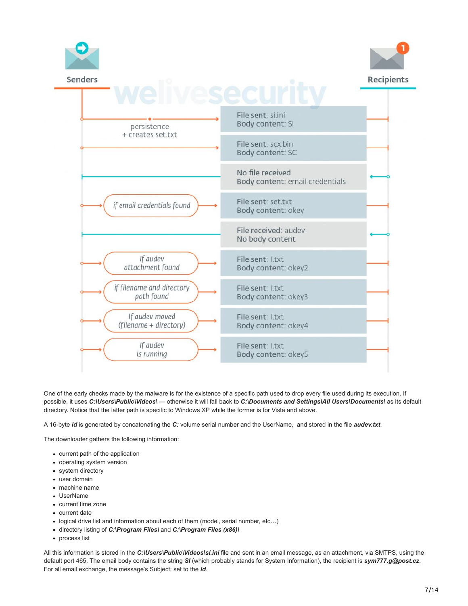

One of the early checks made by the malware is for the existence of a specific path used to drop every file used during its execution. If possible, it uses *C:\Users\Public\Videos\* — otherwise it will fall back to *C:\Documents and Settings\All Users\Documents\* as its default directory. Notice that the latter path is specific to Windows XP while the former is for Vista and above.

A 16-byte *id* is generated by concatenating the *C:* volume serial number and the UserName, and stored in the file *audev.txt*.

The downloader gathers the following information:

- current path of the application
- operating system version
- system directory
- user domain machine name
- UserName
- 
- current time zone
- current date
- logical drive list and information about each of them (model, serial number, etc…)
- directory listing of *C:\Program Files\* and *C:\Program Files (x86)\*
- process list

All this information is stored in the *C:\Users\Public\Videos\si.ini* file and sent in an email message, as an attachment, via SMTPS, using the default port 465. The email body contains the string *SI* (which probably stands for System Information), the recipient is *sym777.g@post.cz*. For all email exchange, the message's Subject: set to the *id*.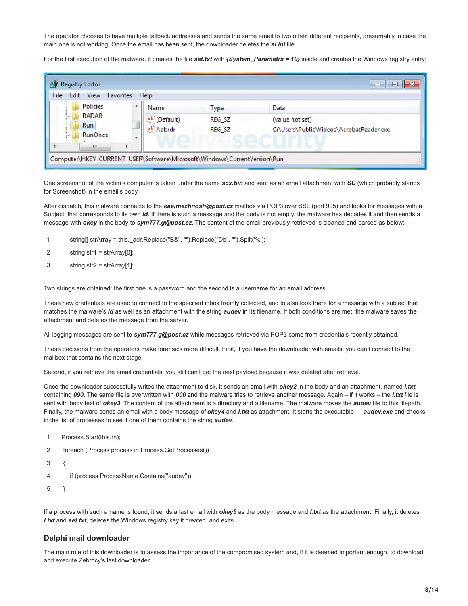The operator chooses to have multiple fallback addresses and sends the same email to two other, different recipients, presumably in case the main one is not working. Once the email has been sent, the downloader deletes the *si.ini* file.

For the first execution of the malware, it creates the file *set.txt* with *{System\_Parametrs = 10}* inside and creates the Windows registry entry:

| View<br>Edit                                           | Favorites<br>Help        |              |                   |                                          |
|--------------------------------------------------------|--------------------------|--------------|-------------------|------------------------------------------|
| <b>Policies</b><br>                                    | ▲<br>Name                |              | <b>Type</b>       | Data                                     |
| <b>RADAR</b>                                           |                          | ab (Default) | REG SZ            | (value not set)                          |
| <b>Run</b><br><b>WEEKS</b><br><b>RunOnce</b><br>511111 | $\overline{\phantom{a}}$ | ab Adbrdr    | REG <sub>SZ</sub> | C:\Users\Public\Videos\AcrobatReader.exe |
| Ш                                                      |                          |              | <b>Service</b>    | .                                        |

One screenshot of the victim's computer is taken under the name *scx.bin* and sent as an email attachment with *SC* (which probably stands for Screenshot) in the email's body.

After dispatch, this malware connects to the *kae.mezhnosh@post.cz* mailbox via POP3 over SSL (port 995) and looks for messages with a Subject: that corresponds to its own *id*. If there is such a message and the body is not empty, the malware hex decodes it and then sends a message with *okey* in the body to *sym777.g@post.cz*. The content of the email previously retrieved is cleaned and parsed as below:

- 1 string[] strArray = this.\_adr.Replace("B&", "").Replace("Db", "").Split('%');
- 2 string str1 = strArray[0];
- 3 string str2 = strArray[1];

Two strings are obtained: the first one is a password and the second is a username for an email address.

These new credentials are used to connect to the specified inbox freshly collected, and to also look there for a message with a subject that matches the malware's *id* as well as an attachment with the string *audev* in its filename. If both conditions are met, the malware saves the attachment and deletes the message from the server.

All logging messages are sent to *sym777.g@post.cz* while messages retrieved via POP3 come from credentials recently obtained.

These decisions from the operators make forensics more difficult. First, if you have the downloader with emails, you can't connect to the mailbox that contains the next stage.

Second, if you retrieve the email credentials, you still can't get the next payload because it was deleted after retrieval.

Once the downloader successfully writes the attachment to disk, it sends an email with *okey2* in the body and an attachment, named *l.txt,* containing *090*. The same file is overwritten with *000* and the malware tries to retrieve another message. Again – if it works – the *l.txt* file is sent with body text of *okey3*. The content of the attachment is a directory and a filename. The malware moves the *audev* file to this filepath. Finally, the malware sends an email with a body message of *okey4* and *l.txt* as attachment. It starts the executable — *audev.exe* and checks in the list of processes to see if one of them contains the string *audev*.

- 1 Process.Start(this.rn);
- 2 foreach (Process process in Process.GetProcesses())
- 3 {
- 4 if (process.ProcessName.Contains("audev"))
- 5 }

If a process with such a name is found, it sends a last email with *okey5* as the body message and *l.txt* as the attachment. Finally, it deletes *l.txt* and *set.txt*, deletes the Windows registry key it created, and exits.

## **Delphi mail downloader**

The main role of this downloader is to assess the importance of the compromised system and, if it is deemed important enough, to download and execute Zebrocy's last downloader.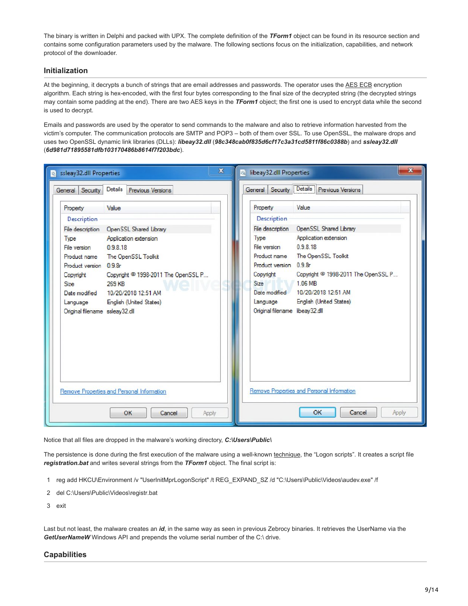The binary is written in Delphi and packed with UPX. The complete definition of the *TForm1* object can be found in its resource section and contains some configuration parameters used by the malware. The following sections focus on the initialization, capabilities, and network protocol of the downloader.

# **Initialization**

At the beginning, it decrypts a bunch of strings that are email addresses and passwords. The operator uses the [AES ECB](https://en.wikipedia.org/wiki/Block_cipher_mode_of_operation#Electronic_Codebook_(ECB)) encryption algorithm. Each string is hex-encoded, with the first four bytes corresponding to the final size of the decrypted string (the decrypted strings may contain some padding at the end). There are two AES keys in the *TForm1* object; the first one is used to encrypt data while the second is used to decrypt.

Emails and passwords are used by the operator to send commands to the malware and also to retrieve information harvested from the victim's computer. The communication protocols are SMTP and POP3 – both of them over SSL. To use OpenSSL, the malware drops and uses two OpenSSL dynamic link libraries (DLLs): *libeay32.dll* (*98c348cab0f835d6cf17c3a31cd5811f86c0388b*) and *ssleay32.dll* (*6d981d71895581dfb103170486b8614f7f203bdc*).

| x                                                            | $\mathbf{x}$                                     |
|--------------------------------------------------------------|--------------------------------------------------|
| Sileay32.dll Properties                                      | a) libeay32.dll Properties                       |
| Details  <br><b>Previous Versions</b><br>Security<br>General | Details Previous Versions<br>Security<br>General |
| Value                                                        | Value                                            |
| Property                                                     | Property                                         |
| Description                                                  | Description                                      |
| File description                                             | OpenSSL Shared Library                           |
| OpenSSL Shared Library                                       | File description                                 |
| Type                                                         | Application extension                            |
| Application extension                                        | Type                                             |
| File version                                                 | 0.9.8.18                                         |
| 0.9818                                                       | File version                                     |
| The OpenSSL Toolkit                                          | Product name                                     |
| Product name                                                 | The OpenSSL Toolkit                              |
| Product version 0.9.8r                                       | Product version 0.9.8r                           |
| Copyright <sup>©</sup> 1998-2011 The OpenSSL P               | Copyright <sup>©</sup> 1998-2011 The OpenSSL P   |
| Copyright                                                    | Copyright                                        |
| 269 KB                                                       | 1.06 MB                                          |
| <b>Size</b>                                                  | Size                                             |
| 10/20/2018 12:51 AM                                          | 10/20/2018 12:51 AM                              |
| Date modified                                                | Date modified                                    |
| English (United States)                                      | English (United States)                          |
| Language                                                     | Language                                         |
| Original filename ssleay32.dll                               | Original filename libeay32.dll                   |
| Remove Properties and Personal Information                   | Remove Properties and Personal Information       |
| OK                                                           | OK                                               |
| Apply                                                        | Cancel                                           |
| Cancel                                                       | Apply                                            |

Notice that all files are dropped in the malware's working directory, *C:\Users\Public\*

The persistence is done during the first execution of the malware using a well-known [technique](http://www.hexacorn.com/blog/2014/11/14/beyond-good-ol-run-key-part-18/), the "Logon scripts". It creates a script file *registration.bat* and writes several strings from the *TForm1* object. The final script is:

- 1 reg add HKCU\Environment /v "UserInitMprLogonScript" /t REG\_EXPAND\_SZ /d "C:\Users\Public\Videos\audev.exe" /f
- 2 del C:\Users\Public\Videos\registr.bat
- 3 exit

Last but not least, the malware creates an *id*, in the same way as seen in previous Zebrocy binaries. It retrieves the UserName via the GetUserNameW Windows API and prepends the volume serial number of the C:\ drive.

#### **Capabilities**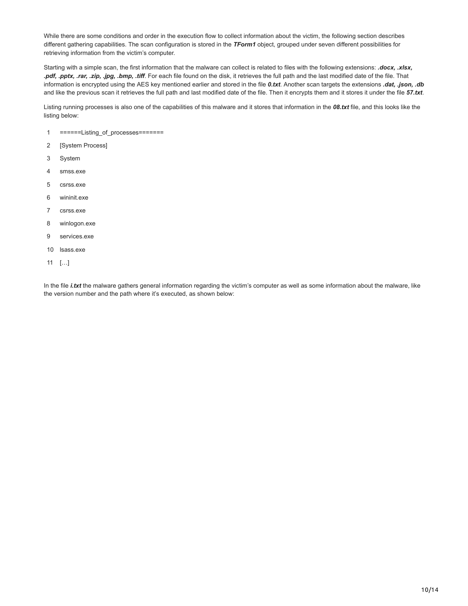While there are some conditions and order in the execution flow to collect information about the victim, the following section describes different gathering capabilities. The scan configuration is stored in the *TForm1* object, grouped under seven different possibilities for retrieving information from the victim's computer.

Starting with a simple scan, the first information that the malware can collect is related to files with the following extensions: *.docx, .xlsx, .pdf, .pptx, .rar, .zip, .jpg, .bmp, .tiff*. For each file found on the disk, it retrieves the full path and the last modified date of the file. That information is encrypted using the AES key mentioned earlier and stored in the file *0.txt*. Another scan targets the extensions *.dat, .json, .db* and like the previous scan it retrieves the full path and last modified date of the file. Then it encrypts them and it stores it under the file *57.txt*.

Listing running processes is also one of the capabilities of this malware and it stores that information in the *08.txt* file, and this looks like the listing below:

- 1 ======Listing\_of\_processes=======
- 2 [System Process]
- 3 System
- 4 smss.exe
- 5 csrss.exe
- 6 wininit.exe
- 7 csrss.exe
- 8 winlogon.exe
- 9 services.exe
- 10 lsass.exe
- 11  $[...]$

In the file *i.txt* the malware gathers general information regarding the victim's computer as well as some information about the malware, like the version number and the path where it's executed, as shown below: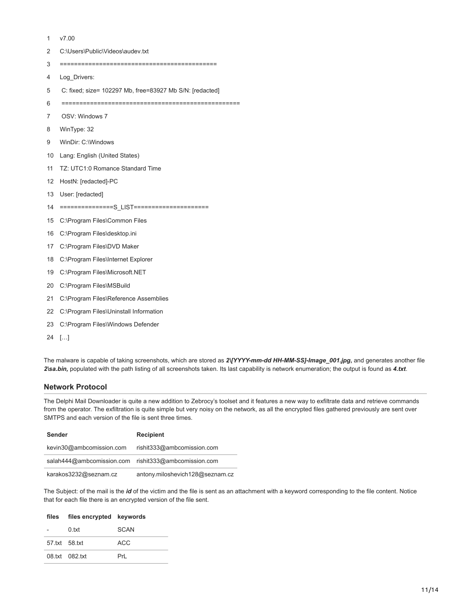1 v7.00

- 2 C:\Users\Public\Videos\audev.txt
- 3 ============================================
- 4 Log\_Drivers:
- 5 C: fixed; size= 102297 Mb, free=83927 Mb S/N: [redacted]
- 6 ==================================================
- 7 OSV: Windows 7
- 8 WinType: 32
- 9 WinDir: C:\Windows
- 10 Lang: English (United States)
- 11 TZ: UTC1:0 Romance Standard Time
- 12 HostN: [redacted]-PC
- 13 User: [redacted]
- 14 ===============S\_LIST=====================
- 15 C:\Program Files\Common Files
- 16 C:\Program Files\desktop.ini
- 17 C:\Program Files\DVD Maker
- 18 C:\Program Files\Internet Explorer
- 19 C:\Program Files\Microsoft.NET
- 20 C:\Program Files\MSBuild
- 21 C:\Program Files\Reference Assemblies
- 22 C:\Program Files\Uninstall Information
- 23 C:\Program Files\Windows Defender
- 24 […]

The malware is capable of taking screenshots, which are stored as *2\[YYYY-mm-dd HH-MM-SS]-Image\_001.jpg***,** and generates another file *2\sa.bin,* populated with the path listing of all screenshots taken. Its last capability is network enumeration; the output is found as *4.txt*.

## **Network Protocol**

The Delphi Mail Downloader is quite a new addition to Zebrocy's toolset and it features a new way to exfiltrate data and retrieve commands from the operator. The exfiltration is quite simple but very noisy on the network, as all the encrypted files gathered previously are sent over SMTPS and each version of the file is sent three times.

| Sender                    | <b>Recipient</b>                |
|---------------------------|---------------------------------|
| kevin30@ambcomission.com  | rishit333@ambcomission.com      |
| salah444@ambcomission.com | rishit333@ambcomission.com      |
| karakos3232@seznam.cz     | antony.miloshevich128@seznam.cz |

The Subject: of the mail is the *id* of the victim and the file is sent as an attachment with a keyword corresponding to the file content. Notice that for each file there is an encrypted version of the file sent.

|               | files files encrypted keywords |      |
|---------------|--------------------------------|------|
|               | n txt                          | SCAN |
| 57.txt 58.txt |                                | ACC. |
|               | 08.txt 082.txt                 | Prl  |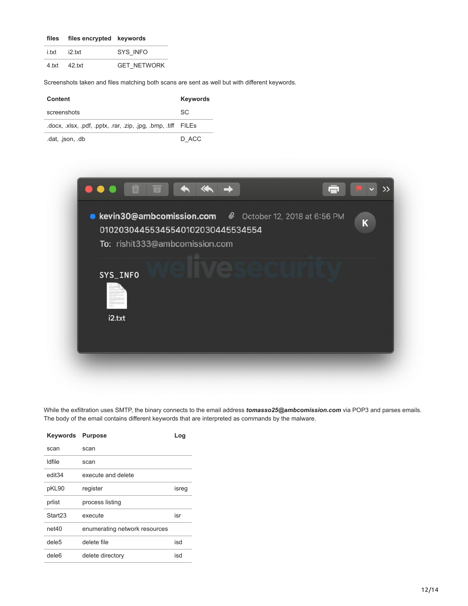|       | files files encrypted keywords |                    |
|-------|--------------------------------|--------------------|
| i.txt | i2 txt                         | SYS INFO           |
|       | 4.txt 42.txt                   | <b>GET NETWORK</b> |

Screenshots taken and files matching both scans are sent as well but with different keywords.

| Content                                               | <b>Keywords</b> |
|-------------------------------------------------------|-----------------|
| screenshots                                           | SC.             |
| docx, xlsx, pdf, pptx, rar, zip, ipg, bmp, tiff FILEs |                 |
| .dat, .json, .db                                      | D ACC           |



While the exfiltration uses SMTP, the binary connects to the email address *tomasso25@ambcomission.com* via POP3 and parses emails. The body of the email contains different keywords that are interpreted as commands by the malware.

| Keywords            | <b>Purpose</b>                | Log   |
|---------------------|-------------------------------|-------|
| scan                | scan                          |       |
| Idfile              | scan                          |       |
| edit34              | execute and delete            |       |
| pKL90               | register                      | isreg |
| prlist              | process listing               |       |
| Start <sub>23</sub> | execute                       | isr   |
| net40               | enumerating network resources |       |
| dele5               | delete file                   | isd   |
| dele <sub>6</sub>   | delete directory              | isd   |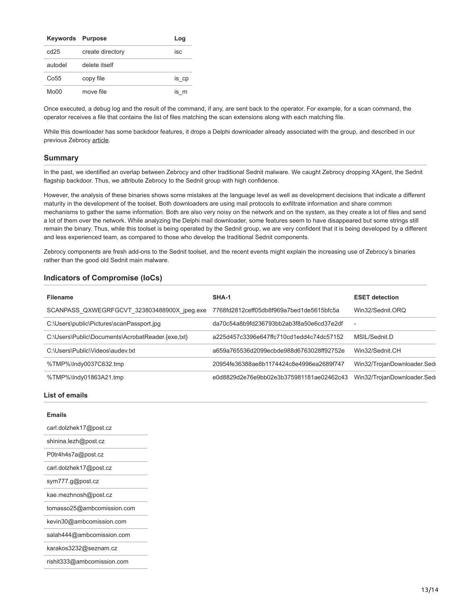| <b>Keywords Purpose</b> |                  | Log   |
|-------------------------|------------------|-------|
| cd25                    | create directory | isc   |
| autodel                 | delete itself    |       |
| Co55                    | copy file        | is_cp |
| Mo00                    | move file        | is m  |

Once executed, a debug log and the result of the command, if any, are sent back to the operator. For example, for a scan command, the operator receives a file that contains the list of files matching the scan extensions along with each matching file.

While this downloader has some backdoor features, it drops a Delphi downloader already associated with the group, and described in our previous Zebrocy [article](https://www.welivesecurity.com/2018/04/24/sednit-update-analysis-zebrocy/).

#### **Summary**

In the past, we identified an overlap between Zebrocy and other traditional Sednit malware. We caught Zebrocy dropping XAgent, the Sednit flagship backdoor. Thus, we attribute Zebrocy to the Sednit group with high confidence.

However, the analysis of these binaries shows some mistakes at the language level as well as development decisions that indicate a different maturity in the development of the toolset. Both downloaders are using mail protocols to exfiltrate information and share common mechanisms to gather the same information. Both are also very noisy on the network and on the system, as they create a lot of files and send a lot of them over the network. While analyzing the Delphi mail downloader, some features seem to have disappeared but some strings still remain the binary. Thus, while this toolset is being operated by the Sednit group, we are very confident that it is being developed by a different and less experienced team, as compared to those who develop the traditional Sednit components.

Zebrocy components are fresh add-ons to the Sednit toolset, and the recent events might explain the increasing use of Zebrocy's binaries rather than the good old Sednit main malware.

## **Indicators of Compromise (IoCs)**

| <b>Filename</b>                                   | SHA-1                                    | <b>ESET detection</b>      |
|---------------------------------------------------|------------------------------------------|----------------------------|
| SCANPASS QXWEGRFGCVT 323803488900X jpeg.exe       | 7768fd2812ceff05db8f969a7bed1de5615bfc5a | Win32/Sednit.ORQ           |
| C:\Users\public\Pictures\scanPassport.jpq         | da70c54a8b9fd236793bb2ab3f8a50e6cd37e2df | $\overline{\phantom{0}}$   |
| C:\Users\Public\Documents\AcrobatReader.{exe.txt} | a225d457c3396e647ffc710cd1edd4c74dc57152 | MSIL/Sednit.D              |
| C:\Users\Public\Videos\audey.txt                  | a659a765536d2099ecbde988d6763028ff92752e | Win32/Sednit.CH            |
| %TMP%\Indy0037C632.tmp                            | 20954fe36388ae8b1174424c8e4996ea2689f747 | Win32/TrojanDownloader.Sed |
| %TMP%\Indy01863A21.tmp                            | e0d8829d2e76e9bb02e3b375981181ae02462c43 | Win32/TrojanDownloader.Sed |

#### **List of emails**

| <b>Emails</b>              |
|----------------------------|
| carl.dolzhek17@post.cz     |
| shinina.lezh@post.cz       |
| P0tr4h4s7a@post.cz         |
| carl.dolzhek17@post.cz     |
| sym777.g@post.cz           |
| kae.mezhnosh@post.cz       |
| tomasso25@ambcomission.com |
| kevin30@ambcomission.com   |
| salah444@ambcomission.com  |
| karakos3232@seznam.cz      |
| rishit333@ambcomission.com |